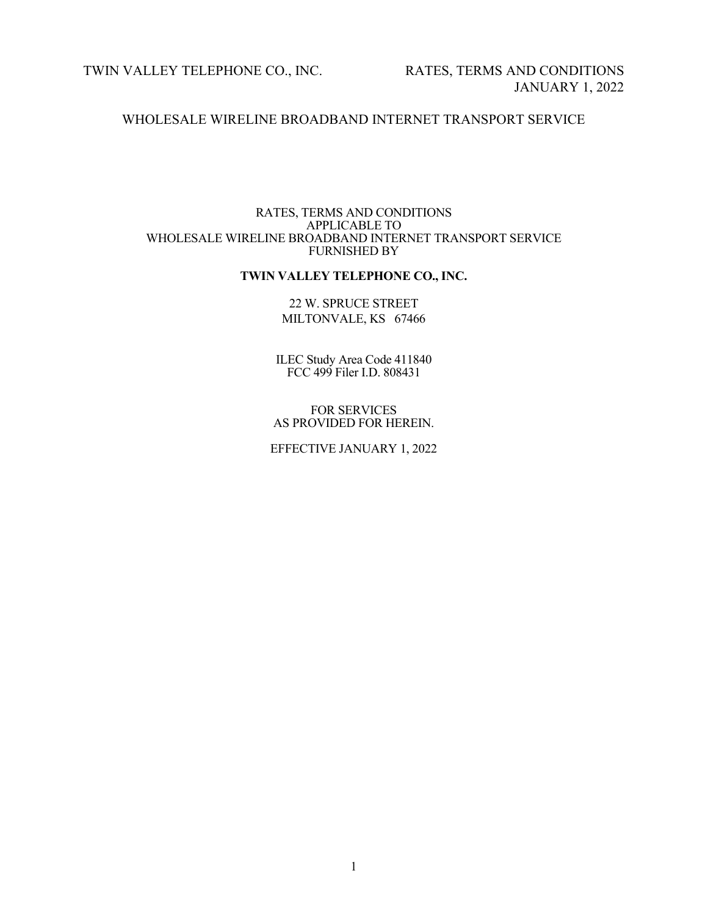TWIN VALLEY TELEPHONE CO., INC. RATES, TERMS AND CONDITIONS

# WHOLESALE WIRELINE BROADBAND INTERNET TRANSPORT SERVICE

#### RATES, TERMS AND CONDITIONS APPLICABLE TO WHOLESALE WIRELINE BROADBAND INTERNET TRANSPORT SERVICE FURNISHED BY

# **TWIN VALLEY TELEPHONE CO., INC.**

# 22 W. SPRUCE STREET MILTONVALE, KS 67466

ILEC Study Area Code 411840 FCC 499 Filer I.D. 808431

#### FOR SERVICES AS PROVIDED FOR HEREIN.

# EFFECTIVE JANUARY 1, 2022

1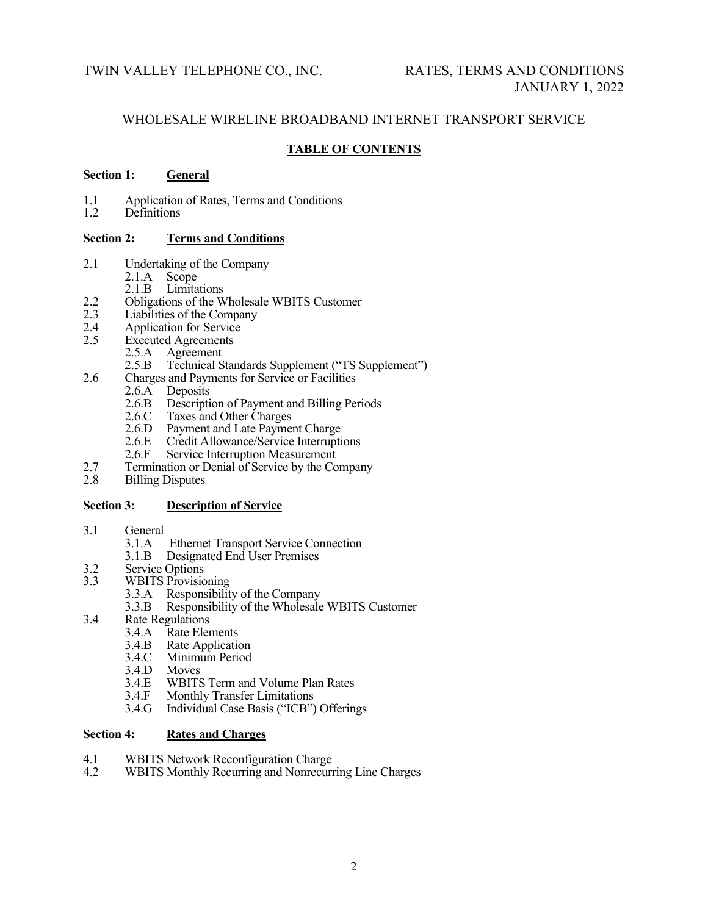# **TABLE OF CONTENTS**

# **Section 1: General**

- 1.1 Application of Rates, Terms and Conditions<br>1.2 Definitions
- Definitions

# **Section 2: Terms and Conditions**

- 2.1 Undertaking of the Company
	- 2.1.A Scope
- 2.1.B Limitations<br>2.2 Obligations of the W
- 2.2 Obligations of the Wholesale WBITS Customer<br>2.3 Liabilities of the Company
- 2.3 Liabilities of the Company<br>2.4 Application for Service
- 2.4 Application for Service<br>2.5 Executed Agreements
	- **Executed Agreements** 
		- 2.5.A Agreement<br>2.5.B Technical S
		- Technical Standards Supplement ("TS Supplement")
- 2.6 Charges and Payments for Service or Facilities
	- 2.6.A Deposits<br>2.6.B Description
		- 2.6.B Description of Payment and Billing Periods<br>2.6.C Taxes and Other Charges
		- 2.6.C Taxes and Other Charges<br>2.6.D Payment and Late Paymen
		- 2.6.D Payment and Late Payment Charge<br>2.6.E Credit Allowance/Service Interrupti
		- 2.6.E Credit Allowance/Service Interruptions<br>2.6.F Service Interruption Measurement
		- Service Interruption Measurement
- 2.7 Termination or Denial of Service by the Company<br>2.8 Billing Disputes
- **Billing Disputes**

# **Section 3: Description of Service**

- 3.1 General  $3.1 \text{ A}$ 
	- Ethernet Transport Service Connection
	- 3.1.B Designated End User Premises
- 3.2 Service Options<br>3.3 WBITS Provisio
- WBITS Provisioning
	- 3.3.A Responsibility of the Company<br>3.3.B Responsibility of the Wholesale
	- Responsibility of the Wholesale WBITS Customer
- 3.4 Rate Regulations
	- 3.4.A Rate Elements<br>3.4.B Rate Application
	- 3.4.B Rate Application<br>3.4.C Minimum Period
	- 3.4.C Minimum Period<br>3.4.D Moves
	- 3.4.D Moves<br>3.4.E WBITS
	- 3.4.E WBITS Term and Volume Plan Rates<br>3.4.F Monthly Transfer Limitations
	- 3.4.F Monthly Transfer Limitations<br>3.4.G Individual Case Basis ("ICB")
	- Individual Case Basis ("ICB") Offerings

# **Section 4: Rates and Charges**

- 4.1 WBITS Network Reconfiguration Charge<br>4.2 WBITS Monthly Recurring and Nonrecuri
- WBITS Monthly Recurring and Nonrecurring Line Charges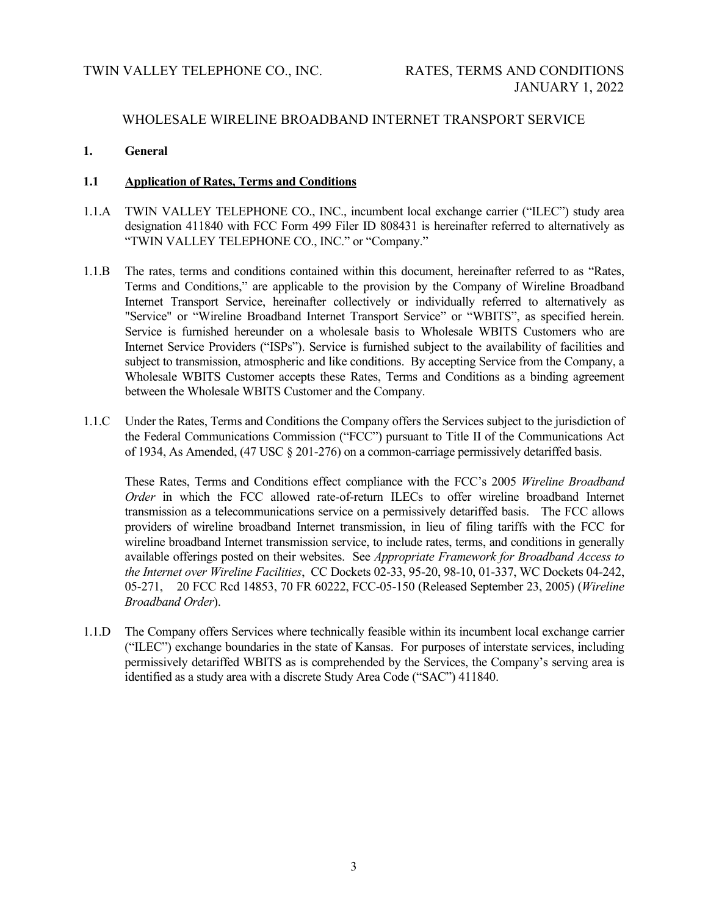### **1. General**

# **1.1 Application of Rates, Terms and Conditions**

- 1.1.A TWIN VALLEY TELEPHONE CO., INC., incumbent local exchange carrier ("ILEC") study area designation 411840 with FCC Form 499 Filer ID 808431 is hereinafter referred to alternatively as "TWIN VALLEY TELEPHONE CO., INC." or "Company."
- 1.1.B The rates, terms and conditions contained within this document, hereinafter referred to as "Rates, Terms and Conditions," are applicable to the provision by the Company of Wireline Broadband Internet Transport Service, hereinafter collectively or individually referred to alternatively as "Service" or "Wireline Broadband Internet Transport Service" or "WBITS", as specified herein. Service is furnished hereunder on a wholesale basis to Wholesale WBITS Customers who are Internet Service Providers ("ISPs"). Service is furnished subject to the availability of facilities and subject to transmission, atmospheric and like conditions. By accepting Service from the Company, a Wholesale WBITS Customer accepts these Rates, Terms and Conditions as a binding agreement between the Wholesale WBITS Customer and the Company.
- 1.1.C Under the Rates, Terms and Conditions the Company offers the Services subject to the jurisdiction of the Federal Communications Commission ("FCC") pursuant to Title II of the Communications Act of 1934, As Amended, (47 USC § 201-276) on a common-carriage permissively detariffed basis.

These Rates, Terms and Conditions effect compliance with the FCC's 2005 *Wireline Broadband Order* in which the FCC allowed rate-of-return ILECs to offer wireline broadband Internet transmission as a telecommunications service on a permissively detariffed basis. The FCC allows providers of wireline broadband Internet transmission, in lieu of filing tariffs with the FCC for wireline broadband Internet transmission service, to include rates, terms, and conditions in generally available offerings posted on their websites. See *Appropriate Framework for Broadband Access to the Internet over Wireline Facilities*, CC Dockets 02-33, 95-20, 98-10, 01-337, WC Dockets 04-242, 05-271, 20 FCC Rcd 14853, 70 FR 60222, FCC-05-150 (Released September 23, 2005) (*Wireline Broadband Order*).

1.1.D The Company offers Services where technically feasible within its incumbent local exchange carrier ("ILEC") exchange boundaries in the state of Kansas. For purposes of interstate services, including permissively detariffed WBITS as is comprehended by the Services, the Company's serving area is identified as a study area with a discrete Study Area Code ("SAC") 411840.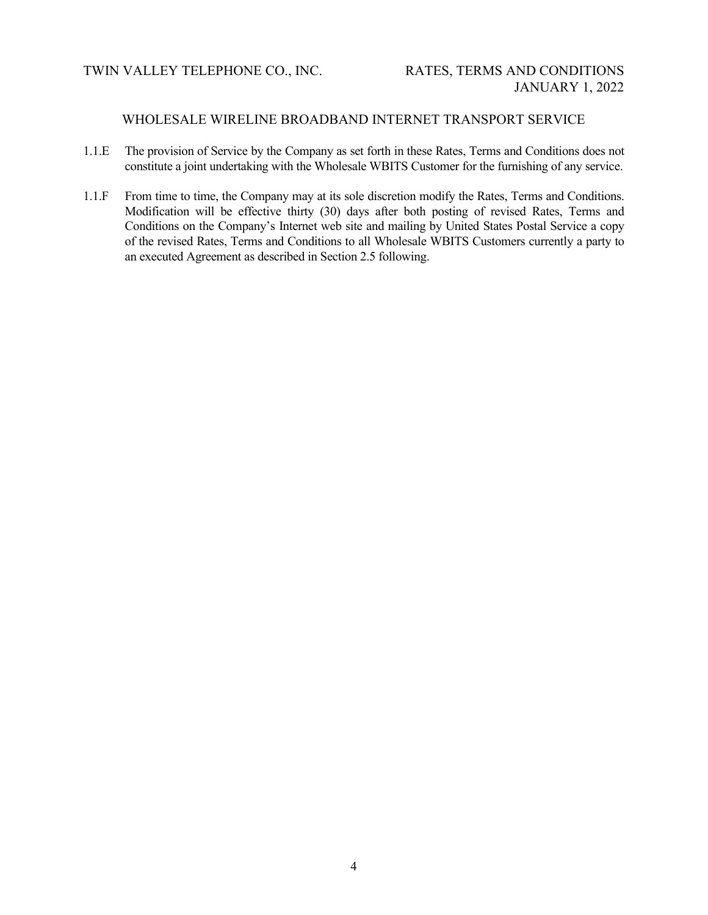- 1.1.E The provision of Service by the Company as set forth in these Rates, Terms and Conditions does not constitute a joint undertaking with the Wholesale WBITS Customer for the furnishing of any service.
- 1.1.F From time to time, the Company may at its sole discretion modify the Rates, Terms and Conditions. Modification will be effective thirty (30) days after both posting of revised Rates, Terms and Conditions on the Company's Internet web site and mailing by United States Postal Service a copy of the revised Rates, Terms and Conditions to all Wholesale WBITS Customers currently a party to an executed Agreement as described in Section 2.5 following.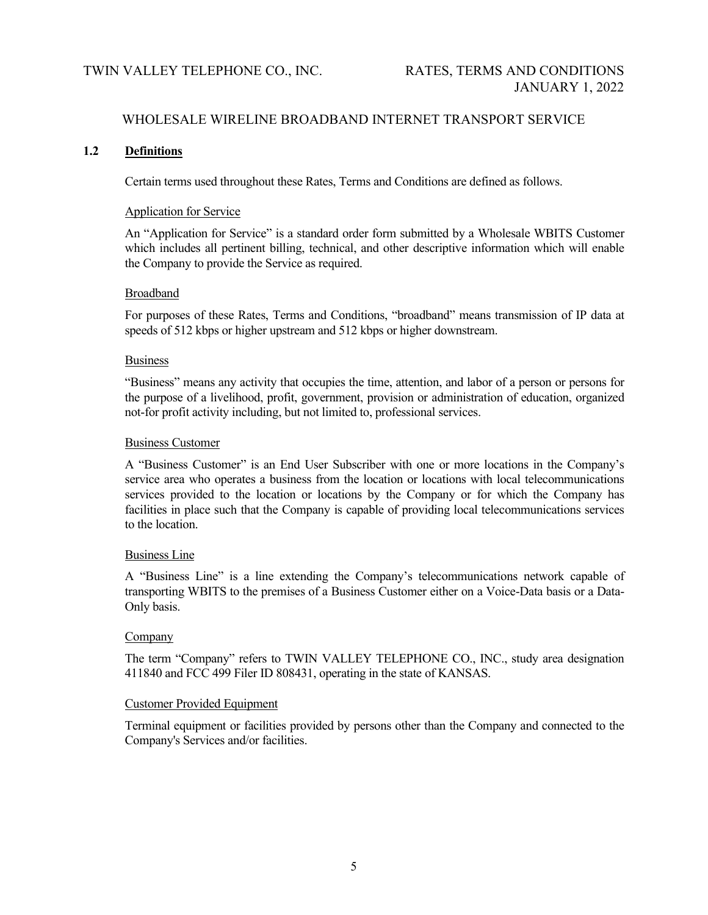# **1.2 Definitions**

Certain terms used throughout these Rates, Terms and Conditions are defined as follows.

#### Application for Service

An "Application for Service" is a standard order form submitted by a Wholesale WBITS Customer which includes all pertinent billing, technical, and other descriptive information which will enable the Company to provide the Service as required.

### Broadband

For purposes of these Rates, Terms and Conditions, "broadband" means transmission of IP data at speeds of 512 kbps or higher upstream and 512 kbps or higher downstream.

### **Business**

"Business" means any activity that occupies the time, attention, and labor of a person or persons for the purpose of a livelihood, profit, government, provision or administration of education, organized not-for profit activity including, but not limited to, professional services.

### Business Customer

A "Business Customer" is an End User Subscriber with one or more locations in the Company's service area who operates a business from the location or locations with local telecommunications services provided to the location or locations by the Company or for which the Company has facilities in place such that the Company is capable of providing local telecommunications services to the location.

# Business Line

A "Business Line" is a line extending the Company's telecommunications network capable of transporting WBITS to the premises of a Business Customer either on a Voice-Data basis or a Data-Only basis.

# Company

The term "Company" refers to TWIN VALLEY TELEPHONE CO., INC., study area designation 411840 and FCC 499 Filer ID 808431, operating in the state of KANSAS.

# Customer Provided Equipment

Terminal equipment or facilities provided by persons other than the Company and connected to the Company's Services and/or facilities.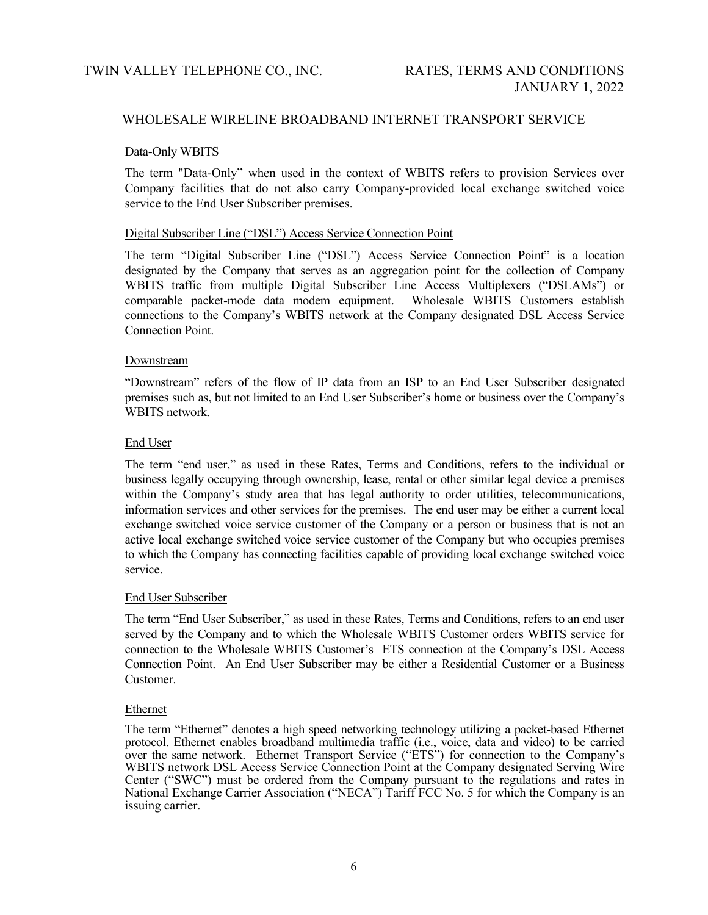#### Data-Only WBITS

The term "Data-Only" when used in the context of WBITS refers to provision Services over Company facilities that do not also carry Company-provided local exchange switched voice service to the End User Subscriber premises.

### Digital Subscriber Line ("DSL") Access Service Connection Point

The term "Digital Subscriber Line ("DSL") Access Service Connection Point" is a location designated by the Company that serves as an aggregation point for the collection of Company WBITS traffic from multiple Digital Subscriber Line Access Multiplexers ("DSLAMs") or comparable packet-mode data modem equipment. Wholesale WBITS Customers establish connections to the Company's WBITS network at the Company designated DSL Access Service Connection Point.

### Downstream

"Downstream" refers of the flow of IP data from an ISP to an End User Subscriber designated premises such as, but not limited to an End User Subscriber's home or business over the Company's WBITS network.

### End User

The term "end user," as used in these Rates, Terms and Conditions, refers to the individual or business legally occupying through ownership, lease, rental or other similar legal device a premises within the Company's study area that has legal authority to order utilities, telecommunications, information services and other services for the premises. The end user may be either a current local exchange switched voice service customer of the Company or a person or business that is not an active local exchange switched voice service customer of the Company but who occupies premises to which the Company has connecting facilities capable of providing local exchange switched voice service.

#### End User Subscriber

The term "End User Subscriber," as used in these Rates, Terms and Conditions, refers to an end user served by the Company and to which the Wholesale WBITS Customer orders WBITS service for connection to the Wholesale WBITS Customer's ETS connection at the Company's DSL Access Connection Point. An End User Subscriber may be either a Residential Customer or a Business Customer.

#### Ethernet

The term "Ethernet" denotes a high speed networking technology utilizing a packet-based Ethernet protocol. Ethernet enables broadband multimedia traffic (i.e., voice, data and video) to be carried over the same network. Ethernet Transport Service ("ETS") for connection to the Company's WBITS network DSL Access Service Connection Point at the Company designated Serving Wire Center ("SWC") must be ordered from the Company pursuant to the regulations and rates in National Exchange Carrier Association ("NECA") Tariff FCC No. 5 for which the Company is an issuing carrier.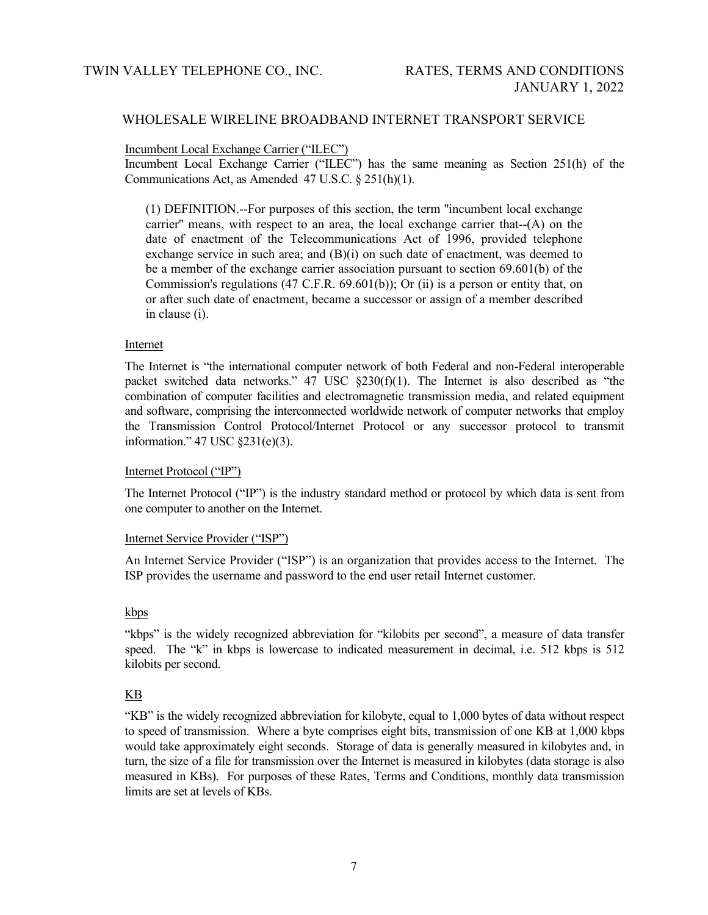### Incumbent Local Exchange Carrier ("ILEC")

Incumbent Local Exchange Carrier ("ILEC") has the same meaning as Section 251(h) of the Communications Act, as Amended 47 U.S.C. § 251(h)(1).

(1) DEFINITION.--For purposes of this section, the term ''incumbent local exchange carrier'' means, with respect to an area, the local exchange carrier that--(A) on the date of enactment of the Telecommunications Act of 1996, provided telephone exchange service in such area; and  $(B)(i)$  on such date of enactment, was deemed to be a member of the exchange carrier association pursuant to section 69.601(b) of the Commission's regulations  $(47 \text{ C.F.R. } 69.601(b))$ ; Or  $(ii)$  is a person or entity that, on or after such date of enactment, became a successor or assign of a member described in clause (i).

### **Internet**

The Internet is "the international computer network of both Federal and non-Federal interoperable packet switched data networks."  $47 \text{ USC } \text{\&} 230(f)(1)$ . The Internet is also described as "the combination of computer facilities and electromagnetic transmission media, and related equipment and software, comprising the interconnected worldwide network of computer networks that employ the Transmission Control Protocol/Internet Protocol or any successor protocol to transmit information." 47 USC §231(e)(3).

# Internet Protocol ("IP")

The Internet Protocol ("IP") is the industry standard method or [protocol](http://searchnetworking.techtarget.com/sDefinition/0,,sid7_gci212839,00.html) by which [data](http://searchdatamanagement.techtarget.com/sDefinition/0,,sid91_gci211894,00.html) is sent from one computer to another on the [Internet.](http://searchvb.techtarget.com/sDefinition/0,,sid8_gci212370,00.html) 

#### Internet Service Provider ("ISP")

An Internet Service Provider ("ISP") is an organization that provides access to the Internet. The ISP provides the username and password to the end user retail Internet customer.

#### kbps

"kbps" is the widely recognized abbreviation for "kilobits per second", a measure of data transfer speed. The "k" in kbps is lowercase to indicated measurement in decimal, i.e. 512 kbps is 512 kilobits per second.

# KB

"KB" is the widely recognized abbreviation for kilobyte, equal to 1,000 bytes of data without respect to speed of transmission. Where a byte comprises eight bits, transmission of one KB at 1,000 kbps would take approximately eight seconds. Storage of data is generally measured in kilobytes and, in turn, the size of a file for transmission over the Internet is measured in kilobytes (data storage is also measured in KBs). For purposes of these Rates, Terms and Conditions, monthly data transmission limits are set at levels of KBs.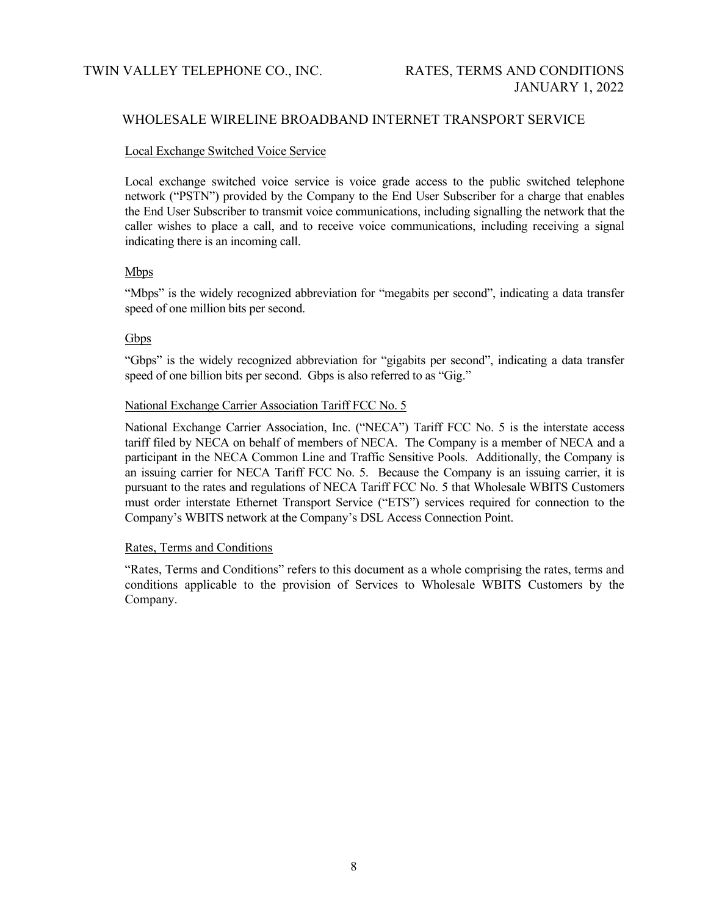### Local Exchange Switched Voice Service

Local exchange switched voice service is voice grade access to the public switched telephone network ("PSTN") provided by the Company to the End User Subscriber for a charge that enables the End User Subscriber to transmit voice communications, including signalling the network that the caller wishes to place a call, and to receive voice communications, including receiving a signal indicating there is an incoming call.

# Mbps

"Mbps" is the widely recognized abbreviation for "megabits per second", indicating a data transfer speed of one million bits per second.

### **Gbps**

"Gbps" is the widely recognized abbreviation for "gigabits per second", indicating a data transfer speed of one billion bits per second. Gbps is also referred to as "Gig."

### National Exchange Carrier Association Tariff FCC No. 5

National Exchange Carrier Association, Inc. ("NECA") Tariff FCC No. 5 is the interstate access tariff filed by NECA on behalf of members of NECA. The Company is a member of NECA and a participant in the NECA Common Line and Traffic Sensitive Pools. Additionally, the Company is an issuing carrier for NECA Tariff FCC No. 5. Because the Company is an issuing carrier, it is pursuant to the rates and regulations of NECA Tariff FCC No. 5 that Wholesale WBITS Customers must order interstate Ethernet Transport Service ("ETS") services required for connection to the Company's WBITS network at the Company's DSL Access Connection Point.

### Rates, Terms and Conditions

"Rates, Terms and Conditions" refers to this document as a whole comprising the rates, terms and conditions applicable to the provision of Services to Wholesale WBITS Customers by the Company.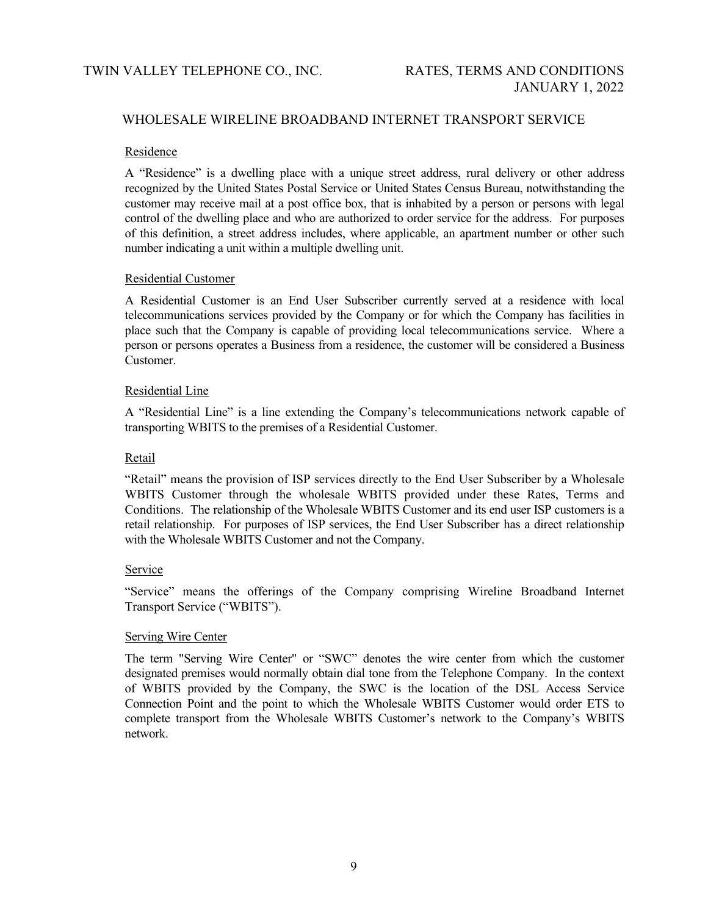### Residence

A "Residence" is a dwelling place with a unique street address, rural delivery or other address recognized by the United States Postal Service or United States Census Bureau, notwithstanding the customer may receive mail at a post office box, that is inhabited by a person or persons with legal control of the dwelling place and who are authorized to order service for the address. For purposes of this definition, a street address includes, where applicable, an apartment number or other such number indicating a unit within a multiple dwelling unit.

### Residential Customer

A Residential Customer is an End User Subscriber currently served at a residence with local telecommunications services provided by the Company or for which the Company has facilities in place such that the Company is capable of providing local telecommunications service. Where a person or persons operates a Business from a residence, the customer will be considered a Business Customer.

### Residential Line

A "Residential Line" is a line extending the Company's telecommunications network capable of transporting WBITS to the premises of a Residential Customer.

### Retail

"Retail" means the provision of ISP services directly to the End User Subscriber by a Wholesale WBITS Customer through the wholesale WBITS provided under these Rates, Terms and Conditions. The relationship of the Wholesale WBITS Customer and its end user ISP customers is a retail relationship. For purposes of ISP services, the End User Subscriber has a direct relationship with the Wholesale WBITS Customer and not the Company.

# **Service**

"Service" means the offerings of the Company comprising Wireline Broadband Internet Transport Service ("WBITS").

#### Serving Wire Center

The term "Serving Wire Center" or "SWC" denotes the wire center from which the customer designated premises would normally obtain dial tone from the Telephone Company. In the context of WBITS provided by the Company, the SWC is the location of the DSL Access Service Connection Point and the point to which the Wholesale WBITS Customer would order ETS to complete transport from the Wholesale WBITS Customer's network to the Company's WBITS network.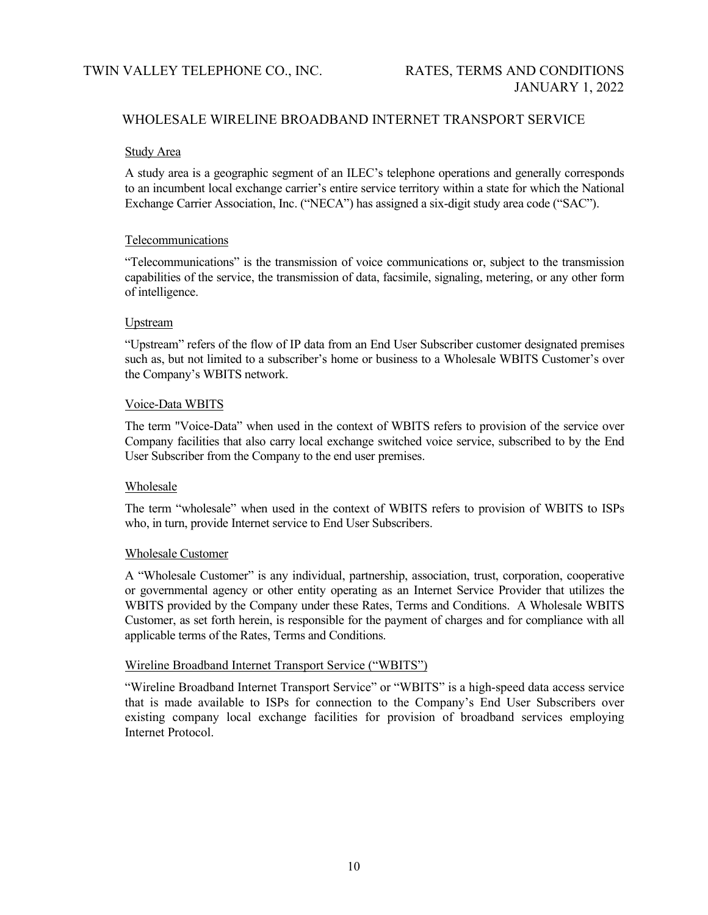### Study Area

A study area is a geographic segment of an ILEC's telephone operations and generally corresponds to an incumbent local exchange carrier's entire service territory within a state for which the National Exchange Carrier Association, Inc. ("NECA") has assigned a six-digit study area code ("SAC").

### Telecommunications

"Telecommunications" is the transmission of voice communications or, subject to the transmission capabilities of the service, the transmission of data, facsimile, signaling, metering, or any other form of intelligence.

# Upstream

"Upstream" refers of the flow of IP data from an End User Subscriber customer designated premises such as, but not limited to a subscriber's home or business to a Wholesale WBITS Customer's over the Company's WBITS network.

### Voice-Data WBITS

The term "Voice-Data" when used in the context of WBITS refers to provision of the service over Company facilities that also carry local exchange switched voice service, subscribed to by the End User Subscriber from the Company to the end user premises.

# Wholesale

The term "wholesale" when used in the context of WBITS refers to provision of WBITS to ISPs who, in turn, provide Internet service to End User Subscribers.

#### Wholesale Customer

A "Wholesale Customer" is any individual, partnership, association, trust, corporation, cooperative or governmental agency or other entity operating as an Internet Service Provider that utilizes the WBITS provided by the Company under these Rates, Terms and Conditions. A Wholesale WBITS Customer, as set forth herein, is responsible for the payment of charges and for compliance with all applicable terms of the Rates, Terms and Conditions.

# Wireline Broadband Internet Transport Service ("WBITS")

"Wireline Broadband Internet Transport Service" or "WBITS" is a high-speed data access service that is made available to ISPs for connection to the Company's End User Subscribers over existing company local exchange facilities for provision of broadband services employing Internet Protocol.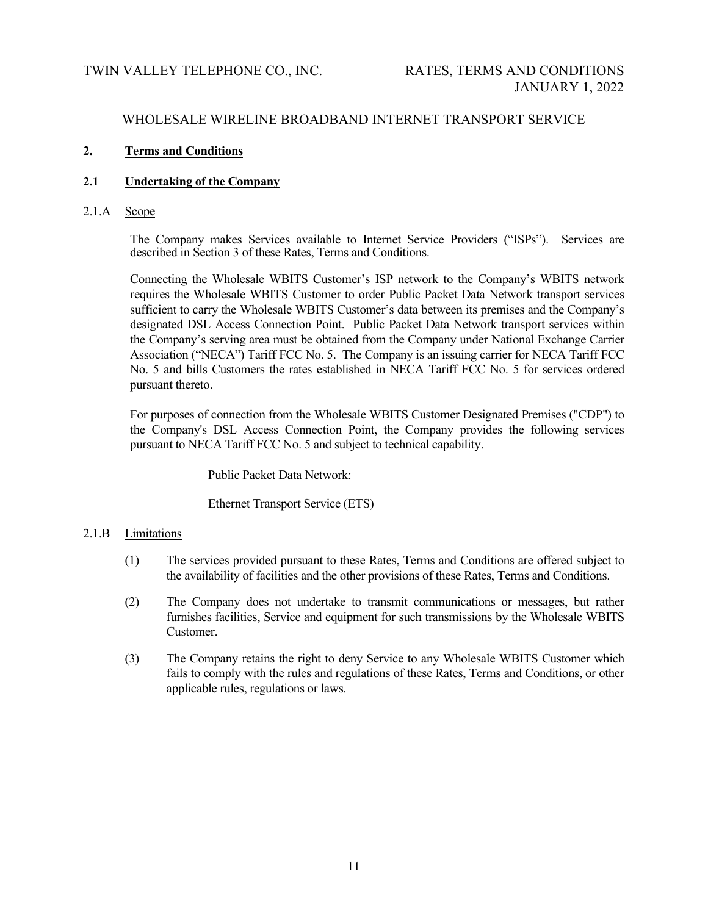# **2. Terms and Conditions**

# **2.1 Undertaking of the Company**

2.1.A Scope

The Company makes Services available to Internet Service Providers ("ISPs"). Services are described in Section 3 of these Rates, Terms and Conditions.

Connecting the Wholesale WBITS Customer's ISP network to the Company's WBITS network requires the Wholesale WBITS Customer to order Public Packet Data Network transport services sufficient to carry the Wholesale WBITS Customer's data between its premises and the Company's designated DSL Access Connection Point. Public Packet Data Network transport services within the Company's serving area must be obtained from the Company under National Exchange Carrier Association ("NECA") Tariff FCC No. 5. The Company is an issuing carrier for NECA Tariff FCC No. 5 and bills Customers the rates established in NECA Tariff FCC No. 5 for services ordered pursuant thereto.

For purposes of connection from the Wholesale WBITS Customer Designated Premises ("CDP") to the Company's DSL Access Connection Point, the Company provides the following services pursuant to NECA Tariff FCC No. 5 and subject to technical capability.

# Public Packet Data Network:

# Ethernet Transport Service (ETS)

# 2.1.B Limitations

- (1) The services provided pursuant to these Rates, Terms and Conditions are offered subject to the availability of facilities and the other provisions of these Rates, Terms and Conditions.
- (2) The Company does not undertake to transmit communications or messages, but rather furnishes facilities, Service and equipment for such transmissions by the Wholesale WBITS Customer.
- (3) The Company retains the right to deny Service to any Wholesale WBITS Customer which fails to comply with the rules and regulations of these Rates, Terms and Conditions, or other applicable rules, regulations or laws.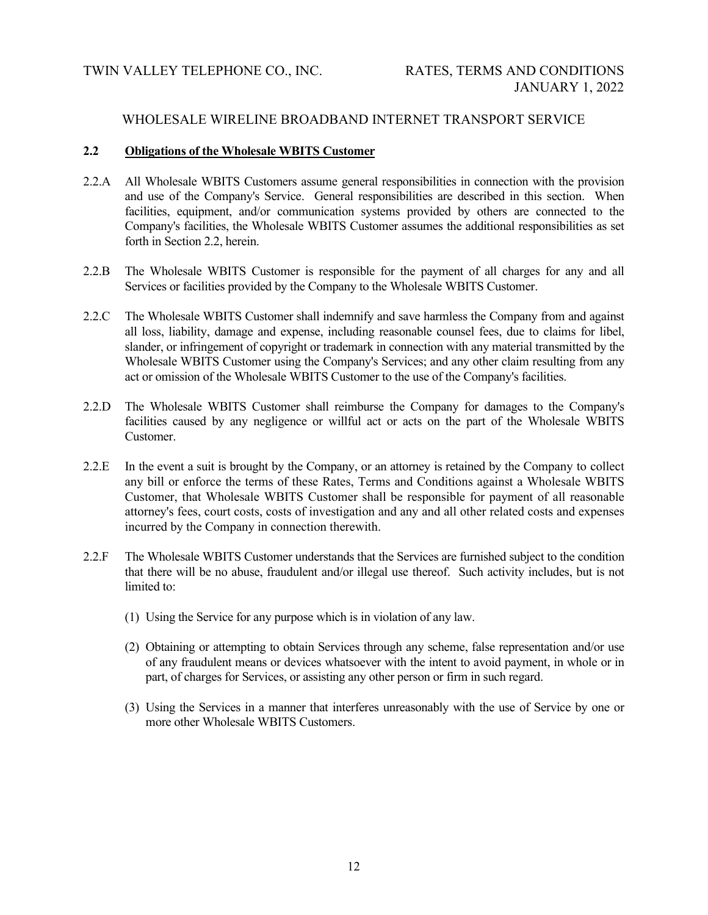### **2.2 Obligations of the Wholesale WBITS Customer**

- 2.2.A All Wholesale WBITS Customers assume general responsibilities in connection with the provision and use of the Company's Service. General responsibilities are described in this section. When facilities, equipment, and/or communication systems provided by others are connected to the Company's facilities, the Wholesale WBITS Customer assumes the additional responsibilities as set forth in Section 2.2, herein.
- 2.2.B The Wholesale WBITS Customer is responsible for the payment of all charges for any and all Services or facilities provided by the Company to the Wholesale WBITS Customer.
- 2.2.C The Wholesale WBITS Customer shall indemnify and save harmless the Company from and against all loss, liability, damage and expense, including reasonable counsel fees, due to claims for libel, slander, or infringement of copyright or trademark in connection with any material transmitted by the Wholesale WBITS Customer using the Company's Services; and any other claim resulting from any act or omission of the Wholesale WBITS Customer to the use of the Company's facilities.
- 2.2.D The Wholesale WBITS Customer shall reimburse the Company for damages to the Company's facilities caused by any negligence or willful act or acts on the part of the Wholesale WBITS Customer.
- 2.2.E In the event a suit is brought by the Company, or an attorney is retained by the Company to collect any bill or enforce the terms of these Rates, Terms and Conditions against a Wholesale WBITS Customer, that Wholesale WBITS Customer shall be responsible for payment of all reasonable attorney's fees, court costs, costs of investigation and any and all other related costs and expenses incurred by the Company in connection therewith.
- 2.2.F The Wholesale WBITS Customer understands that the Services are furnished subject to the condition that there will be no abuse, fraudulent and/or illegal use thereof. Such activity includes, but is not limited to:
	- (1) Using the Service for any purpose which is in violation of any law.
	- (2) Obtaining or attempting to obtain Services through any scheme, false representation and/or use of any fraudulent means or devices whatsoever with the intent to avoid payment, in whole or in part, of charges for Services, or assisting any other person or firm in such regard.
	- (3) Using the Services in a manner that interferes unreasonably with the use of Service by one or more other Wholesale WBITS Customers.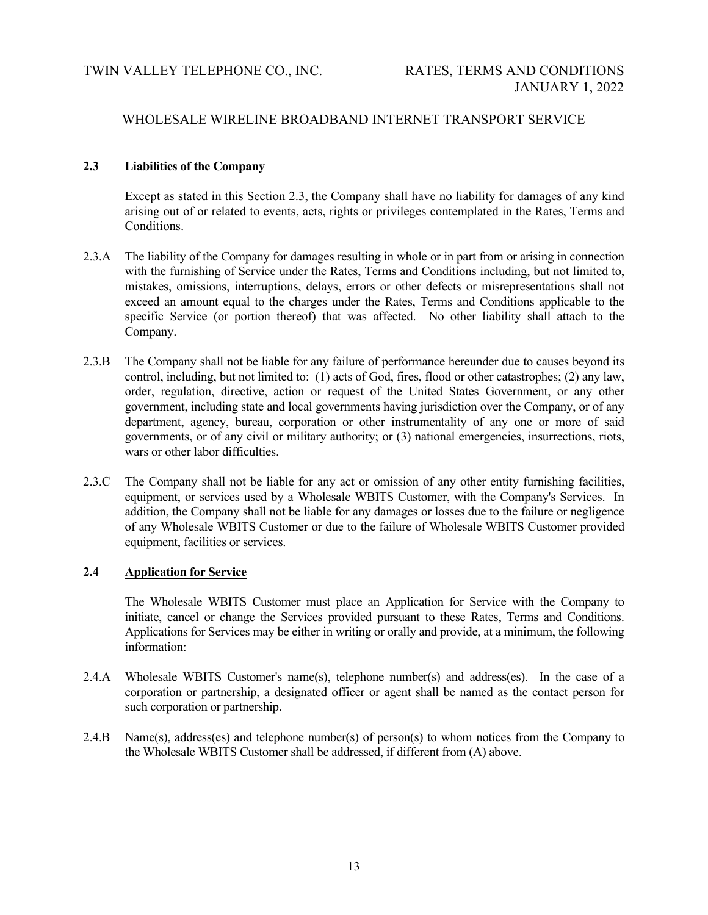# **2.3 Liabilities of the Company**

Except as stated in this Section 2.3, the Company shall have no liability for damages of any kind arising out of or related to events, acts, rights or privileges contemplated in the Rates, Terms and Conditions.

- 2.3.A The liability of the Company for damages resulting in whole or in part from or arising in connection with the furnishing of Service under the Rates, Terms and Conditions including, but not limited to, mistakes, omissions, interruptions, delays, errors or other defects or misrepresentations shall not exceed an amount equal to the charges under the Rates, Terms and Conditions applicable to the specific Service (or portion thereof) that was affected. No other liability shall attach to the Company.
- 2.3.B The Company shall not be liable for any failure of performance hereunder due to causes beyond its control, including, but not limited to: (1) acts of God, fires, flood or other catastrophes; (2) any law, order, regulation, directive, action or request of the United States Government, or any other government, including state and local governments having jurisdiction over the Company, or of any department, agency, bureau, corporation or other instrumentality of any one or more of said governments, or of any civil or military authority; or (3) national emergencies, insurrections, riots, wars or other labor difficulties.
- 2.3.C The Company shall not be liable for any act or omission of any other entity furnishing facilities, equipment, or services used by a Wholesale WBITS Customer, with the Company's Services. In addition, the Company shall not be liable for any damages or losses due to the failure or negligence of any Wholesale WBITS Customer or due to the failure of Wholesale WBITS Customer provided equipment, facilities or services.

# **2.4 Application for Service**

The Wholesale WBITS Customer must place an Application for Service with the Company to initiate, cancel or change the Services provided pursuant to these Rates, Terms and Conditions. Applications for Services may be either in writing or orally and provide, at a minimum, the following information:

- 2.4.A Wholesale WBITS Customer's name(s), telephone number(s) and address(es). In the case of a corporation or partnership, a designated officer or agent shall be named as the contact person for such corporation or partnership.
- 2.4.B Name(s), address(es) and telephone number(s) of person(s) to whom notices from the Company to the Wholesale WBITS Customer shall be addressed, if different from (A) above.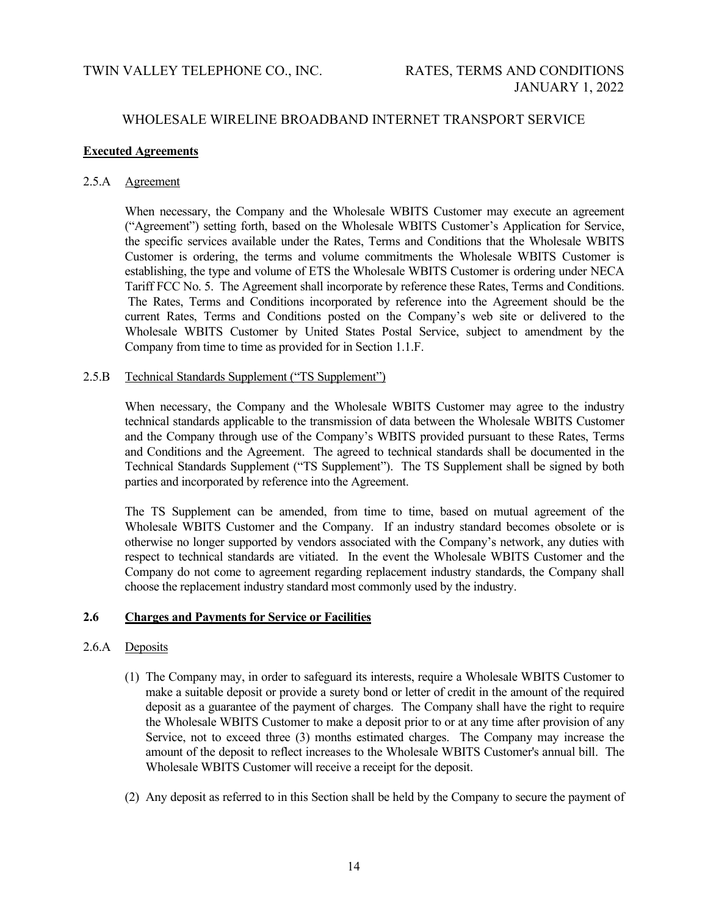### **Executed Agreements**

### 2.5.A Agreement

When necessary, the Company and the Wholesale WBITS Customer may execute an agreement ("Agreement") setting forth, based on the Wholesale WBITS Customer's Application for Service, the specific services available under the Rates, Terms and Conditions that the Wholesale WBITS Customer is ordering, the terms and volume commitments the Wholesale WBITS Customer is establishing, the type and volume of ETS the Wholesale WBITS Customer is ordering under NECA Tariff FCC No. 5. The Agreement shall incorporate by reference these Rates, Terms and Conditions. The Rates, Terms and Conditions incorporated by reference into the Agreement should be the current Rates, Terms and Conditions posted on the Company's web site or delivered to the Wholesale WBITS Customer by United States Postal Service, subject to amendment by the Company from time to time as provided for in Section 1.1.F.

### 2.5.B Technical Standards Supplement ("TS Supplement")

When necessary, the Company and the Wholesale WBITS Customer may agree to the industry technical standards applicable to the transmission of data between the Wholesale WBITS Customer and the Company through use of the Company's WBITS provided pursuant to these Rates, Terms and Conditions and the Agreement. The agreed to technical standards shall be documented in the Technical Standards Supplement ("TS Supplement"). The TS Supplement shall be signed by both parties and incorporated by reference into the Agreement.

The TS Supplement can be amended, from time to time, based on mutual agreement of the Wholesale WBITS Customer and the Company. If an industry standard becomes obsolete or is otherwise no longer supported by vendors associated with the Company's network, any duties with respect to technical standards are vitiated. In the event the Wholesale WBITS Customer and the Company do not come to agreement regarding replacement industry standards, the Company shall choose the replacement industry standard most commonly used by the industry.

# **2.6 Charges and Payments for Service or Facilities**

### 2.6.A Deposits

- (1) The Company may, in order to safeguard its interests, require a Wholesale WBITS Customer to make a suitable deposit or provide a surety bond or letter of credit in the amount of the required deposit as a guarantee of the payment of charges. The Company shall have the right to require the Wholesale WBITS Customer to make a deposit prior to or at any time after provision of any Service, not to exceed three (3) months estimated charges. The Company may increase the amount of the deposit to reflect increases to the Wholesale WBITS Customer's annual bill. The Wholesale WBITS Customer will receive a receipt for the deposit.
- (2) Any deposit as referred to in this Section shall be held by the Company to secure the payment of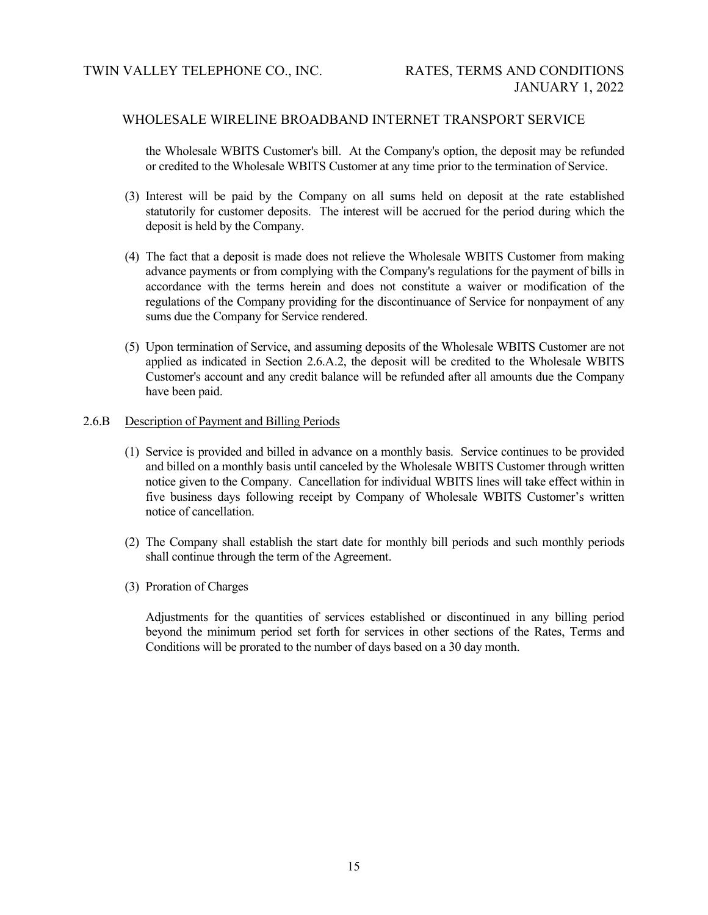the Wholesale WBITS Customer's bill. At the Company's option, the deposit may be refunded or credited to the Wholesale WBITS Customer at any time prior to the termination of Service.

- (3) Interest will be paid by the Company on all sums held on deposit at the rate established statutorily for customer deposits. The interest will be accrued for the period during which the deposit is held by the Company.
- (4) The fact that a deposit is made does not relieve the Wholesale WBITS Customer from making advance payments or from complying with the Company's regulations for the payment of bills in accordance with the terms herein and does not constitute a waiver or modification of the regulations of the Company providing for the discontinuance of Service for nonpayment of any sums due the Company for Service rendered.
- (5) Upon termination of Service, and assuming deposits of the Wholesale WBITS Customer are not applied as indicated in Section 2.6.A.2, the deposit will be credited to the Wholesale WBITS Customer's account and any credit balance will be refunded after all amounts due the Company have been paid.

### 2.6.B Description of Payment and Billing Periods

- (1) Service is provided and billed in advance on a monthly basis. Service continues to be provided and billed on a monthly basis until canceled by the Wholesale WBITS Customer through written notice given to the Company. Cancellation for individual WBITS lines will take effect within in five business days following receipt by Company of Wholesale WBITS Customer's written notice of cancellation.
- (2) The Company shall establish the start date for monthly bill periods and such monthly periods shall continue through the term of the Agreement.
- (3) Proration of Charges

Adjustments for the quantities of services established or discontinued in any billing period beyond the minimum period set forth for services in other sections of the Rates, Terms and Conditions will be prorated to the number of days based on a 30 day month.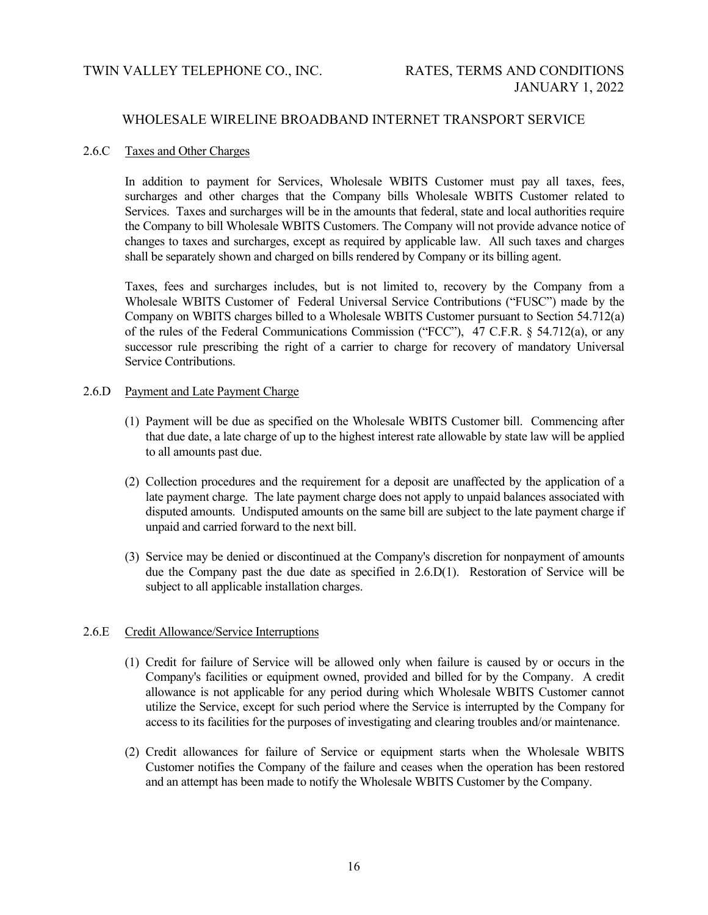### 2.6.C Taxes and Other Charges

In addition to payment for Services, Wholesale WBITS Customer must pay all taxes, fees, surcharges and other charges that the Company bills Wholesale WBITS Customer related to Services. Taxes and surcharges will be in the amounts that federal, state and local authorities require the Company to bill Wholesale WBITS Customers. The Company will not provide advance notice of changes to taxes and surcharges, except as required by applicable law. All such taxes and charges shall be separately shown and charged on bills rendered by Company or its billing agent.

Taxes, fees and surcharges includes, but is not limited to, recovery by the Company from a Wholesale WBITS Customer of Federal Universal Service Contributions ("FUSC") made by the Company on WBITS charges billed to a Wholesale WBITS Customer pursuant to Section 54.712(a) of the rules of the Federal Communications Commission ("FCC"), 47 C.F.R. § 54.712(a), or any successor rule prescribing the right of a carrier to charge for recovery of mandatory Universal Service Contributions.

### 2.6.D Payment and Late Payment Charge

- (1) Payment will be due as specified on the Wholesale WBITS Customer bill. Commencing after that due date, a late charge of up to the highest interest rate allowable by state law will be applied to all amounts past due.
- (2) Collection procedures and the requirement for a deposit are unaffected by the application of a late payment charge. The late payment charge does not apply to unpaid balances associated with disputed amounts. Undisputed amounts on the same bill are subject to the late payment charge if unpaid and carried forward to the next bill.
- (3) Service may be denied or discontinued at the Company's discretion for nonpayment of amounts due the Company past the due date as specified in 2.6.D(1). Restoration of Service will be subject to all applicable installation charges.

# 2.6.E Credit Allowance/Service Interruptions

- (1) Credit for failure of Service will be allowed only when failure is caused by or occurs in the Company's facilities or equipment owned, provided and billed for by the Company. A credit allowance is not applicable for any period during which Wholesale WBITS Customer cannot utilize the Service, except for such period where the Service is interrupted by the Company for access to its facilities for the purposes of investigating and clearing troubles and/or maintenance.
- (2) Credit allowances for failure of Service or equipment starts when the Wholesale WBITS Customer notifies the Company of the failure and ceases when the operation has been restored and an attempt has been made to notify the Wholesale WBITS Customer by the Company.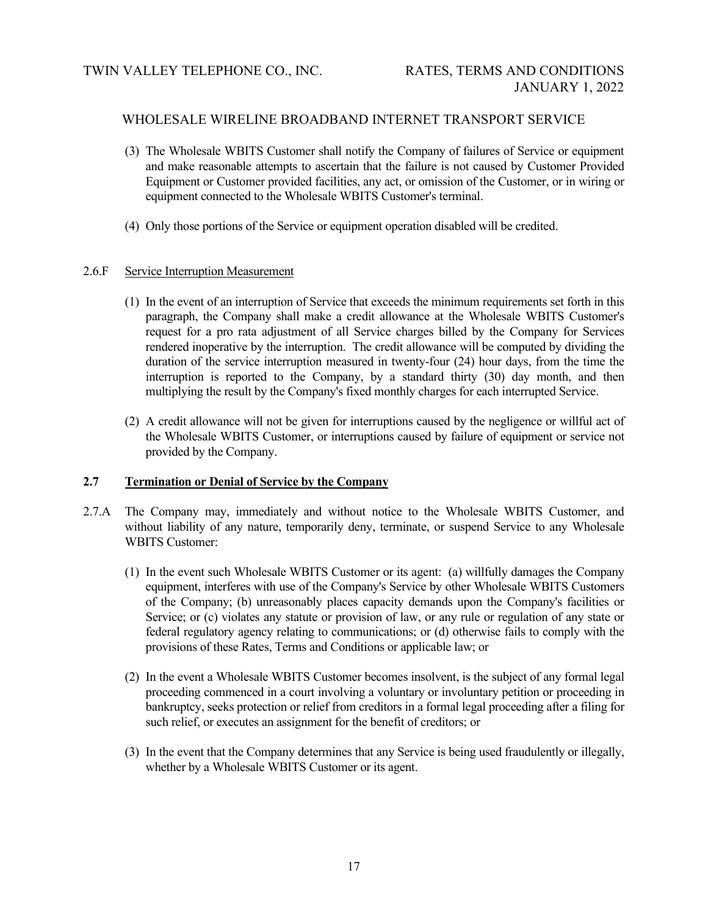- (3) The Wholesale WBITS Customer shall notify the Company of failures of Service or equipment and make reasonable attempts to ascertain that the failure is not caused by Customer Provided Equipment or Customer provided facilities, any act, or omission of the Customer, or in wiring or equipment connected to the Wholesale WBITS Customer's terminal.
- (4) Only those portions of the Service or equipment operation disabled will be credited.

### 2.6.F Service Interruption Measurement

- (1) In the event of an interruption of Service that exceeds the minimum requirements set forth in this paragraph, the Company shall make a credit allowance at the Wholesale WBITS Customer's request for a pro rata adjustment of all Service charges billed by the Company for Services rendered inoperative by the interruption. The credit allowance will be computed by dividing the duration of the service interruption measured in twenty-four (24) hour days, from the time the interruption is reported to the Company, by a standard thirty (30) day month, and then multiplying the result by the Company's fixed monthly charges for each interrupted Service.
- (2) A credit allowance will not be given for interruptions caused by the negligence or willful act of the Wholesale WBITS Customer, or interruptions caused by failure of equipment or service not provided by the Company.

### **2.7 Termination or Denial of Service by the Company**

- 2.7.A The Company may, immediately and without notice to the Wholesale WBITS Customer, and without liability of any nature, temporarily deny, terminate, or suspend Service to any Wholesale WBITS Customer:
	- (1) In the event such Wholesale WBITS Customer or its agent: (a) willfully damages the Company equipment, interferes with use of the Company's Service by other Wholesale WBITS Customers of the Company; (b) unreasonably places capacity demands upon the Company's facilities or Service; or (c) violates any statute or provision of law, or any rule or regulation of any state or federal regulatory agency relating to communications; or (d) otherwise fails to comply with the provisions of these Rates, Terms and Conditions or applicable law; or
	- (2) In the event a Wholesale WBITS Customer becomes insolvent, is the subject of any formal legal proceeding commenced in a court involving a voluntary or involuntary petition or proceeding in bankruptcy, seeks protection or relief from creditors in a formal legal proceeding after a filing for such relief, or executes an assignment for the benefit of creditors; or
	- (3) In the event that the Company determines that any Service is being used fraudulently or illegally, whether by a Wholesale WBITS Customer or its agent.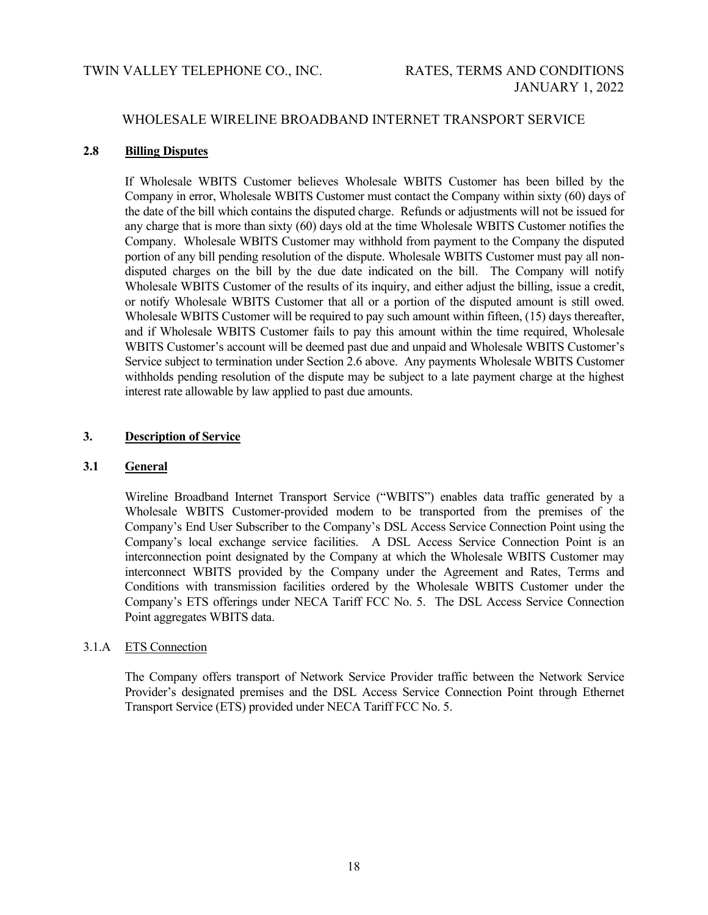# TWIN VALLEY TELEPHONE CO., INC. RATES, TERMS AND CONDITIONS

# WHOLESALE WIRELINE BROADBAND INTERNET TRANSPORT SERVICE

### **2.8 Billing Disputes**

If Wholesale WBITS Customer believes Wholesale WBITS Customer has been billed by the Company in error, Wholesale WBITS Customer must contact the Company within sixty (60) days of the date of the bill which contains the disputed charge. Refunds or adjustments will not be issued for any charge that is more than sixty (60) days old at the time Wholesale WBITS Customer notifies the Company. Wholesale WBITS Customer may withhold from payment to the Company the disputed portion of any bill pending resolution of the dispute. Wholesale WBITS Customer must pay all nondisputed charges on the bill by the due date indicated on the bill. The Company will notify Wholesale WBITS Customer of the results of its inquiry, and either adjust the billing, issue a credit, or notify Wholesale WBITS Customer that all or a portion of the disputed amount is still owed. Wholesale WBITS Customer will be required to pay such amount within fifteen, (15) days thereafter, and if Wholesale WBITS Customer fails to pay this amount within the time required, Wholesale WBITS Customer's account will be deemed past due and unpaid and Wholesale WBITS Customer's Service subject to termination under Section 2.6 above. Any payments Wholesale WBITS Customer withholds pending resolution of the dispute may be subject to a late payment charge at the highest interest rate allowable by law applied to past due amounts.

# **3. Description of Service**

# **3.1 General**

Wireline Broadband Internet Transport Service ("WBITS") enables data traffic generated by a Wholesale WBITS Customer-provided modem to be transported from the premises of the Company's End User Subscriber to the Company's DSL Access Service Connection Point using the Company's local exchange service facilities. A DSL Access Service Connection Point is an interconnection point designated by the Company at which the Wholesale WBITS Customer may interconnect WBITS provided by the Company under the Agreement and Rates, Terms and Conditions with transmission facilities ordered by the Wholesale WBITS Customer under the Company's ETS offerings under NECA Tariff FCC No. 5. The DSL Access Service Connection Point aggregates WBITS data.

# 3.1.A ETS Connection

The Company offers transport of Network Service Provider traffic between the Network Service Provider's designated premises and the DSL Access Service Connection Point through Ethernet Transport Service (ETS) provided under NECA Tariff FCC No. 5.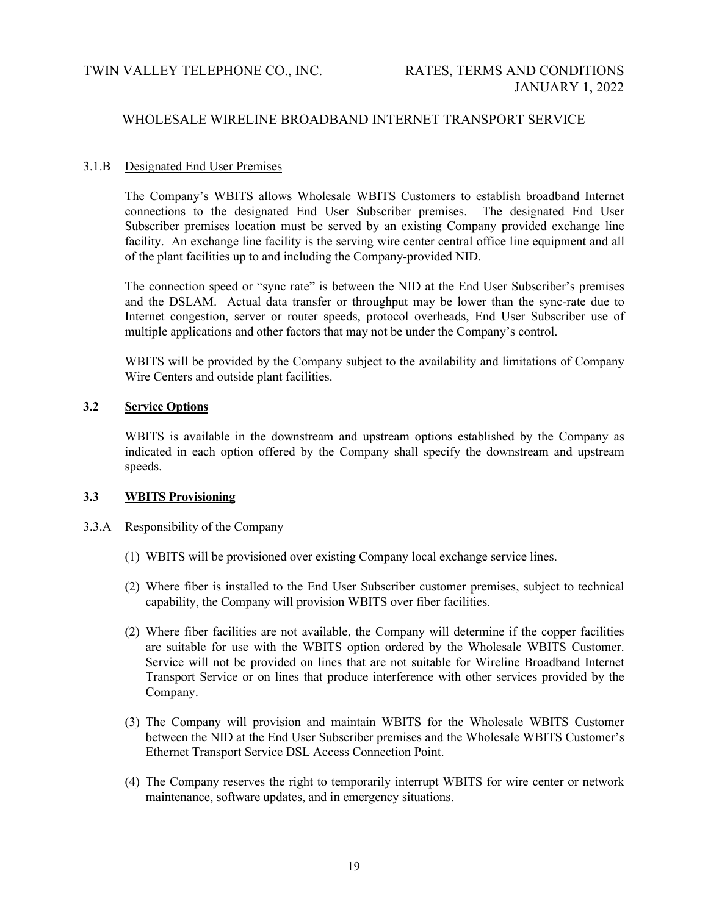### 3.1.B Designated End User Premises

The Company's WBITS allows Wholesale WBITS Customers to establish broadband Internet connections to the designated End User Subscriber premises. The designated End User Subscriber premises location must be served by an existing Company provided exchange line facility. An exchange line facility is the serving wire center central office line equipment and all of the plant facilities up to and including the Company-provided NID.

The connection speed or "sync rate" is between the NID at the End User Subscriber's premises and the DSLAM. Actual data transfer or throughput may be lower than the sync-rate due to Internet congestion, server or router speeds, protocol overheads, End User Subscriber use of multiple applications and other factors that may not be under the Company's control.

WBITS will be provided by the Company subject to the availability and limitations of Company Wire Centers and outside plant facilities.

# **3.2 Service Options**

WBITS is available in the downstream and upstream options established by the Company as indicated in each option offered by the Company shall specify the downstream and upstream speeds.

# **3.3 WBITS Provisioning**

#### 3.3.A Responsibility of the Company

- (1) WBITS will be provisioned over existing Company local exchange service lines.
- (2) Where fiber is installed to the End User Subscriber customer premises, subject to technical capability, the Company will provision WBITS over fiber facilities.
- (2) Where fiber facilities are not available, the Company will determine if the copper facilities are suitable for use with the WBITS option ordered by the Wholesale WBITS Customer. Service will not be provided on lines that are not suitable for Wireline Broadband Internet Transport Service or on lines that produce interference with other services provided by the Company.
- (3) The Company will provision and maintain WBITS for the Wholesale WBITS Customer between the NID at the End User Subscriber premises and the Wholesale WBITS Customer's Ethernet Transport Service DSL Access Connection Point.
- (4) The Company reserves the right to temporarily interrupt WBITS for wire center or network maintenance, software updates, and in emergency situations.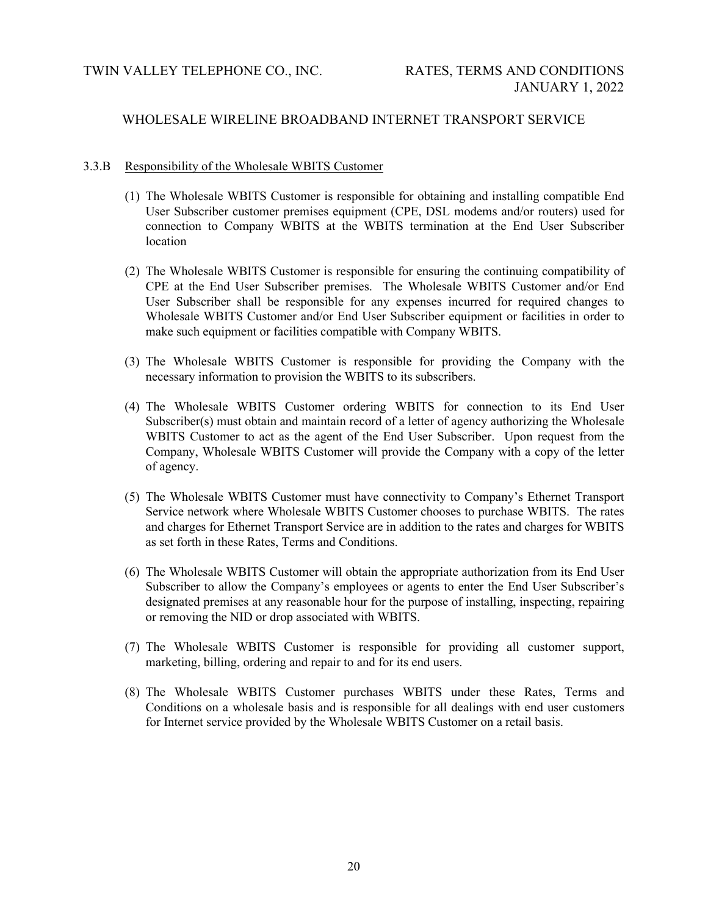### 3.3.B Responsibility of the Wholesale WBITS Customer

- (1) The Wholesale WBITS Customer is responsible for obtaining and installing compatible End User Subscriber customer premises equipment (CPE, DSL modems and/or routers) used for connection to Company WBITS at the WBITS termination at the End User Subscriber location
- (2) The Wholesale WBITS Customer is responsible for ensuring the continuing compatibility of CPE at the End User Subscriber premises. The Wholesale WBITS Customer and/or End User Subscriber shall be responsible for any expenses incurred for required changes to Wholesale WBITS Customer and/or End User Subscriber equipment or facilities in order to make such equipment or facilities compatible with Company WBITS.
- (3) The Wholesale WBITS Customer is responsible for providing the Company with the necessary information to provision the WBITS to its subscribers.
- (4) The Wholesale WBITS Customer ordering WBITS for connection to its End User Subscriber(s) must obtain and maintain record of a letter of agency authorizing the Wholesale WBITS Customer to act as the agent of the End User Subscriber. Upon request from the Company, Wholesale WBITS Customer will provide the Company with a copy of the letter of agency.
- (5) The Wholesale WBITS Customer must have connectivity to Company's Ethernet Transport Service network where Wholesale WBITS Customer chooses to purchase WBITS. The rates and charges for Ethernet Transport Service are in addition to the rates and charges for WBITS as set forth in these Rates, Terms and Conditions.
- (6) The Wholesale WBITS Customer will obtain the appropriate authorization from its End User Subscriber to allow the Company's employees or agents to enter the End User Subscriber's designated premises at any reasonable hour for the purpose of installing, inspecting, repairing or removing the NID or drop associated with WBITS.
- (7) The Wholesale WBITS Customer is responsible for providing all customer support, marketing, billing, ordering and repair to and for its end users.
- (8) The Wholesale WBITS Customer purchases WBITS under these Rates, Terms and Conditions on a wholesale basis and is responsible for all dealings with end user customers for Internet service provided by the Wholesale WBITS Customer on a retail basis.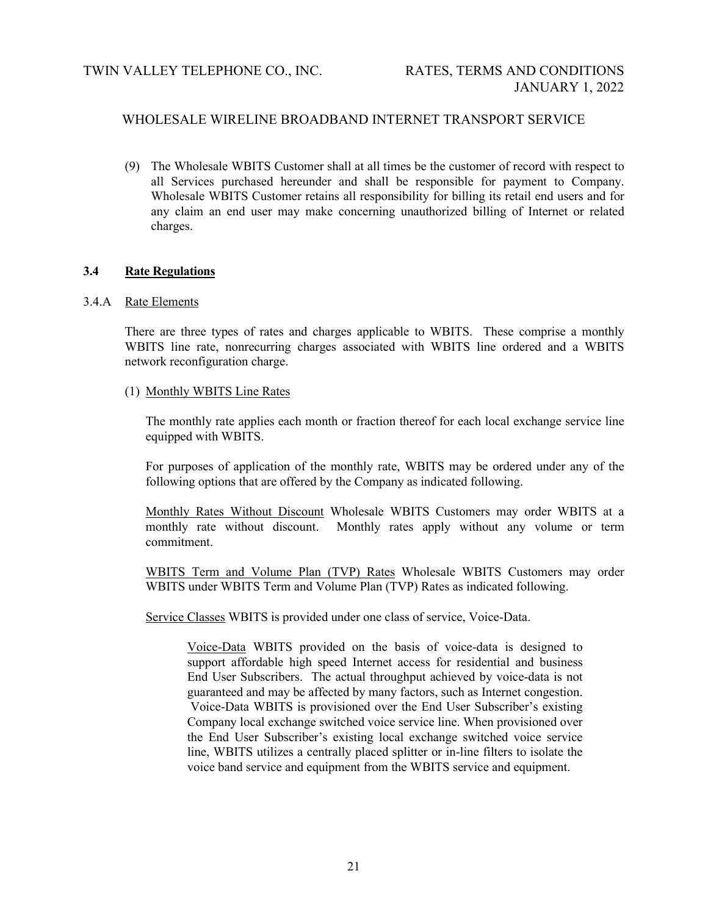(9) The Wholesale WBITS Customer shall at all times be the customer of record with respect to all Services purchased hereunder and shall be responsible for payment to Company. Wholesale WBITS Customer retains all responsibility for billing its retail end users and for any claim an end user may make concerning unauthorized billing of Internet or related charges.

### **3.4 Rate Regulations**

### 3.4.A Rate Elements

There are three types of rates and charges applicable to WBITS. These comprise a monthly WBITS line rate, nonrecurring charges associated with WBITS line ordered and a WBITS network reconfiguration charge.

### (1) Monthly WBITS Line Rates

The monthly rate applies each month or fraction thereof for each local exchange service line equipped with WBITS.

For purposes of application of the monthly rate, WBITS may be ordered under any of the following options that are offered by the Company as indicated following.

Monthly Rates Without Discount Wholesale WBITS Customers may order WBITS at a monthly rate without discount. Monthly rates apply without any volume or term commitment.

WBITS Term and Volume Plan (TVP) Rates Wholesale WBITS Customers may order WBITS under WBITS Term and Volume Plan (TVP) Rates as indicated following.

Service Classes WBITS is provided under one class of service, Voice-Data.

Voice-Data WBITS provided on the basis of voice-data is designed to support affordable high speed Internet access for residential and business End User Subscribers. The actual throughput achieved by voice-data is not guaranteed and may be affected by many factors, such as Internet congestion. Voice-Data WBITS is provisioned over the End User Subscriber's existing Company local exchange switched voice service line. When provisioned over the End User Subscriber's existing local exchange switched voice service line, WBITS utilizes a centrally placed splitter or in-line filters to isolate the voice band service and equipment from the WBITS service and equipment.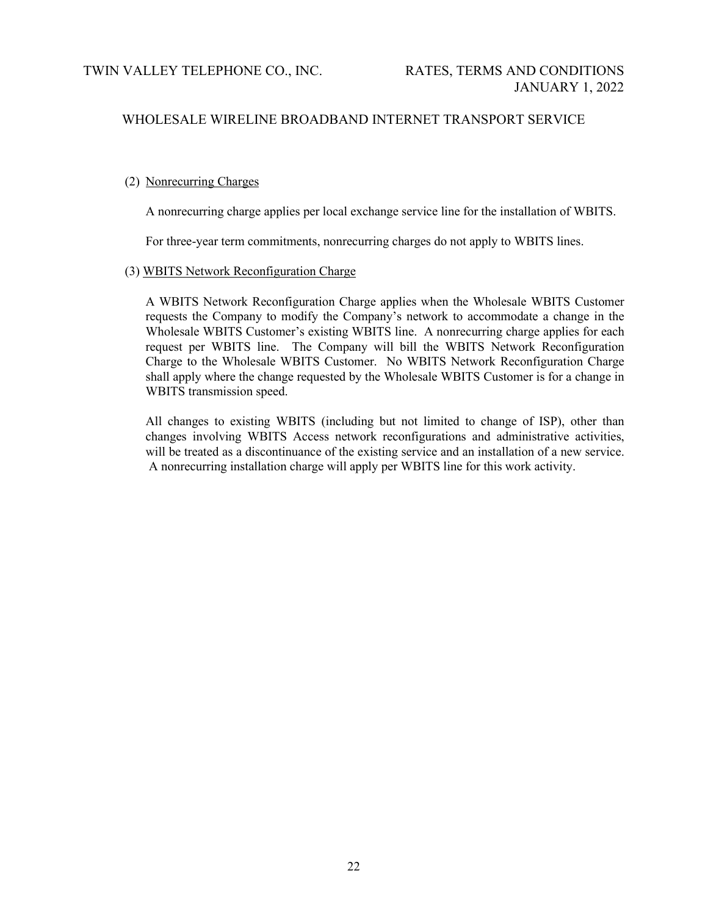# (2) Nonrecurring Charges

A nonrecurring charge applies per local exchange service line for the installation of WBITS.

For three-year term commitments, nonrecurring charges do not apply to WBITS lines.

### (3) WBITS Network Reconfiguration Charge

A WBITS Network Reconfiguration Charge applies when the Wholesale WBITS Customer requests the Company to modify the Company's network to accommodate a change in the Wholesale WBITS Customer's existing WBITS line. A nonrecurring charge applies for each request per WBITS line. The Company will bill the WBITS Network Reconfiguration Charge to the Wholesale WBITS Customer. No WBITS Network Reconfiguration Charge shall apply where the change requested by the Wholesale WBITS Customer is for a change in WBITS transmission speed.

All changes to existing WBITS (including but not limited to change of ISP), other than changes involving WBITS Access network reconfigurations and administrative activities, will be treated as a discontinuance of the existing service and an installation of a new service. A nonrecurring installation charge will apply per WBITS line for this work activity.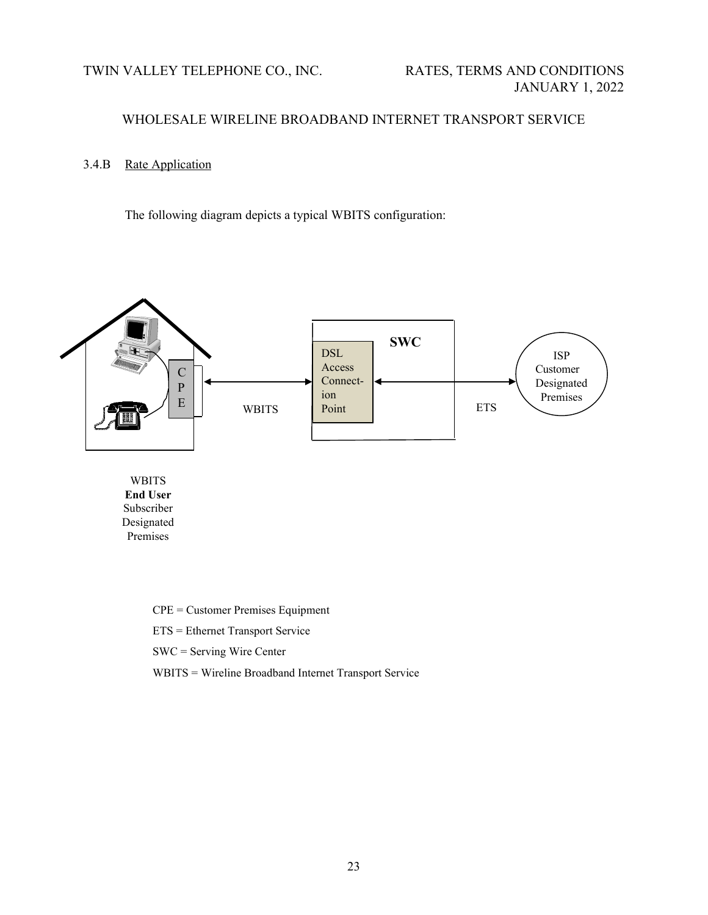TWIN VALLEY TELEPHONE CO., INC. RATES, TERMS AND CONDITIONS

# WHOLESALE WIRELINE BROADBAND INTERNET TRANSPORT SERVICE

# 3.4.B Rate Application

The following diagram depicts a typical WBITS configuration:



WBITS **End User** Subscriber Designated Premises

> CPE = Customer Premises Equipment ETS = Ethernet Transport Service SWC = Serving Wire Center WBITS = Wireline Broadband Internet Transport Service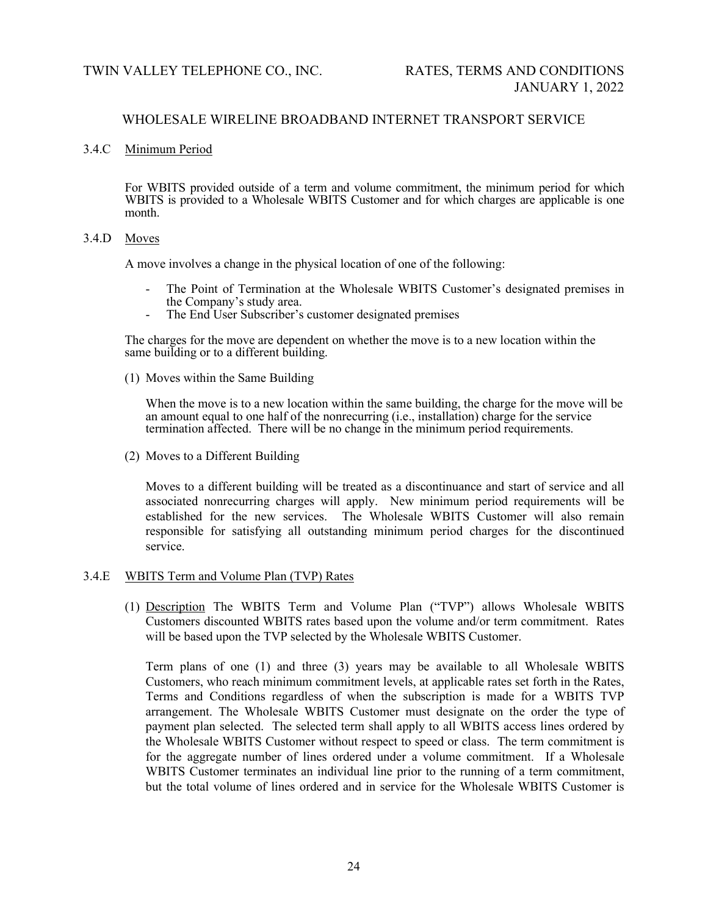### 3.4.C Minimum Period

For WBITS provided outside of a term and volume commitment, the minimum period for which WBITS is provided to a Wholesale WBITS Customer and for which charges are applicable is one month.

### 3.4.D Moves

A move involves a change in the physical location of one of the following:

- The Point of Termination at the Wholesale WBITS Customer's designated premises in the Company's study area.
- The End User Subscriber's customer designated premises

The charges for the move are dependent on whether the move is to a new location within the same building or to a different building.

(1) Moves within the Same Building

When the move is to a new location within the same building, the charge for the move will be an amount equal to one half of the nonrecurring (i.e., installation) charge for the service termination affected. There will be no change in the minimum period requirements.

(2) Moves to a Different Building

Moves to a different building will be treated as a discontinuance and start of service and all associated nonrecurring charges will apply. New minimum period requirements will be established for the new services. The Wholesale WBITS Customer will also remain responsible for satisfying all outstanding minimum period charges for the discontinued service.

#### 3.4.E WBITS Term and Volume Plan (TVP) Rates

(1) Description The WBITS Term and Volume Plan ("TVP") allows Wholesale WBITS Customers discounted WBITS rates based upon the volume and/or term commitment. Rates will be based upon the TVP selected by the Wholesale WBITS Customer.

Term plans of one (1) and three (3) years may be available to all Wholesale WBITS Customers, who reach minimum commitment levels, at applicable rates set forth in the Rates, Terms and Conditions regardless of when the subscription is made for a WBITS TVP arrangement. The Wholesale WBITS Customer must designate on the order the type of payment plan selected. The selected term shall apply to all WBITS access lines ordered by the Wholesale WBITS Customer without respect to speed or class. The term commitment is for the aggregate number of lines ordered under a volume commitment. If a Wholesale WBITS Customer terminates an individual line prior to the running of a term commitment, but the total volume of lines ordered and in service for the Wholesale WBITS Customer is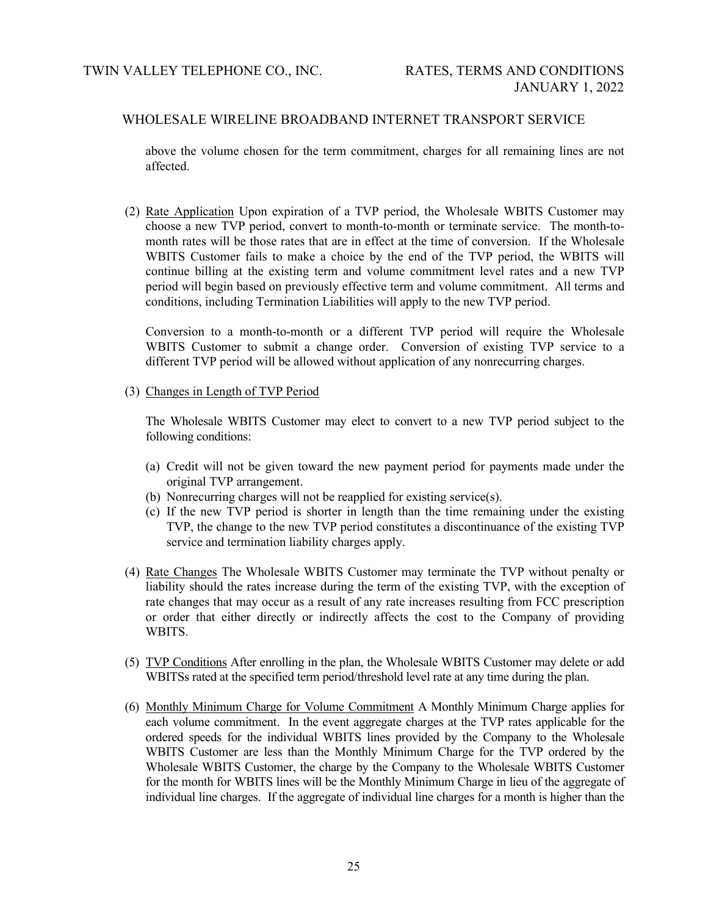above the volume chosen for the term commitment, charges for all remaining lines are not affected.

(2) Rate Application Upon expiration of a TVP period, the Wholesale WBITS Customer may choose a new TVP period, convert to month-to-month or terminate service. The month-tomonth rates will be those rates that are in effect at the time of conversion. If the Wholesale WBITS Customer fails to make a choice by the end of the TVP period, the WBITS will continue billing at the existing term and volume commitment level rates and a new TVP period will begin based on previously effective term and volume commitment. All terms and conditions, including Termination Liabilities will apply to the new TVP period.

Conversion to a month-to-month or a different TVP period will require the Wholesale WBITS Customer to submit a change order. Conversion of existing TVP service to a different TVP period will be allowed without application of any nonrecurring charges.

### (3) Changes in Length of TVP Period

The Wholesale WBITS Customer may elect to convert to a new TVP period subject to the following conditions:

- (a) Credit will not be given toward the new payment period for payments made under the original TVP arrangement.
- (b) Nonrecurring charges will not be reapplied for existing service(s).
- (c) If the new TVP period is shorter in length than the time remaining under the existing TVP, the change to the new TVP period constitutes a discontinuance of the existing TVP service and termination liability charges apply.
- (4) Rate Changes The Wholesale WBITS Customer may terminate the TVP without penalty or liability should the rates increase during the term of the existing TVP, with the exception of rate changes that may occur as a result of any rate increases resulting from FCC prescription or order that either directly or indirectly affects the cost to the Company of providing WBITS.
- (5) TVP Conditions After enrolling in the plan, the Wholesale WBITS Customer may delete or add WBITSs rated at the specified term period/threshold level rate at any time during the plan.
- (6) Monthly Minimum Charge for Volume Commitment A Monthly Minimum Charge applies for each volume commitment. In the event aggregate charges at the TVP rates applicable for the ordered speeds for the individual WBITS lines provided by the Company to the Wholesale WBITS Customer are less than the Monthly Minimum Charge for the TVP ordered by the Wholesale WBITS Customer, the charge by the Company to the Wholesale WBITS Customer for the month for WBITS lines will be the Monthly Minimum Charge in lieu of the aggregate of individual line charges. If the aggregate of individual line charges for a month is higher than the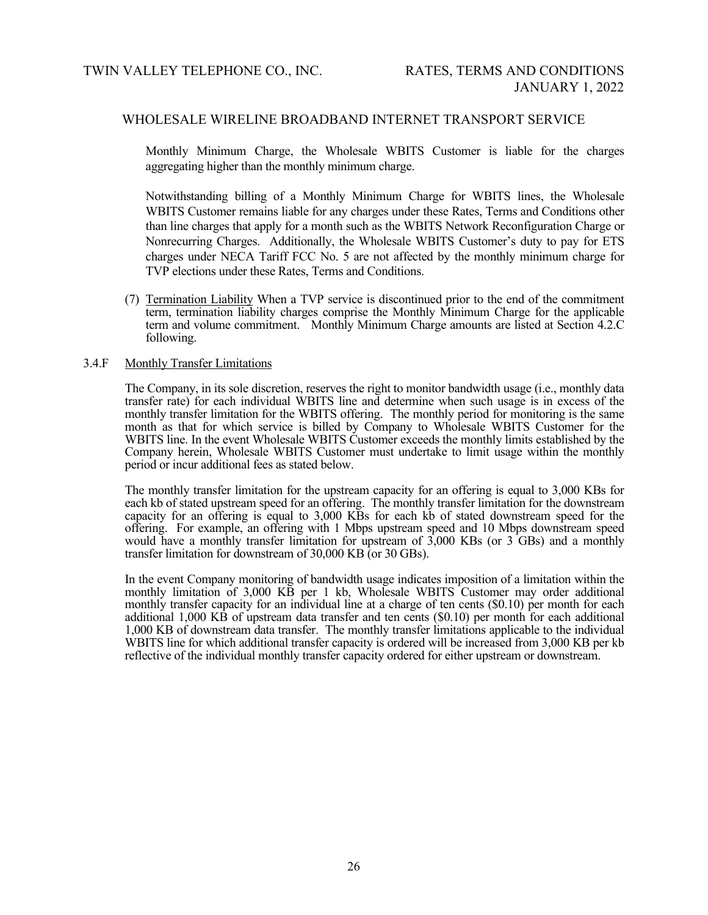Monthly Minimum Charge, the Wholesale WBITS Customer is liable for the charges aggregating higher than the monthly minimum charge.

Notwithstanding billing of a Monthly Minimum Charge for WBITS lines, the Wholesale WBITS Customer remains liable for any charges under these Rates, Terms and Conditions other than line charges that apply for a month such as the WBITS Network Reconfiguration Charge or Nonrecurring Charges. Additionally, the Wholesale WBITS Customer's duty to pay for ETS charges under NECA Tariff FCC No. 5 are not affected by the monthly minimum charge for TVP elections under these Rates, Terms and Conditions.

(7) Termination Liability When a TVP service is discontinued prior to the end of the commitment term, termination liability charges comprise the Monthly Minimum Charge for the applicable term and volume commitment. Monthly Minimum Charge amounts are listed at Section 4.2.C following.

#### 3.4.F Monthly Transfer Limitations

The Company, in its sole discretion, reserves the right to monitor bandwidth usage (i.e., monthly data transfer rate) for each individual WBITS line and determine when such usage is in excess of the monthly transfer limitation for the WBITS offering. The monthly period for monitoring is the same month as that for which service is billed by Company to Wholesale WBITS Customer for the WBITS line. In the event Wholesale WBITS Customer exceeds the monthly limits established by the Company herein, Wholesale WBITS Customer must undertake to limit usage within the monthly period or incur additional fees as stated below.

The monthly transfer limitation for the upstream capacity for an offering is equal to 3,000 KBs for each kb of stated upstream speed for an offering. The monthly transfer limitation for the downstream capacity for an offering is equal to 3,000 KBs for each kb of stated downstream speed for the offering. For example, an offering with 1 Mbps upstream speed and 10 Mbps downstream speed would have a monthly transfer limitation for upstream of  $3,000$  KBs (or  $3\text{ GBs}$ ) and a monthly transfer limitation for downstream of 30,000 KB (or 30 GBs).

In the event Company monitoring of bandwidth usage indicates imposition of a limitation within the monthly limitation of 3,000 KB per 1 kb, Wholesale WBITS Customer may order additional monthly transfer capacity for an individual line at a charge of ten cents (\$0.10) per month for each additional 1,000 KB of upstream data transfer and ten cents (\$0.10) per month for each additional 1,000 KB of downstream data transfer. The monthly transfer limitations applicable to the individual WBITS line for which additional transfer capacity is ordered will be increased from 3,000 KB per kb reflective of the individual monthly transfer capacity ordered for either upstream or downstream.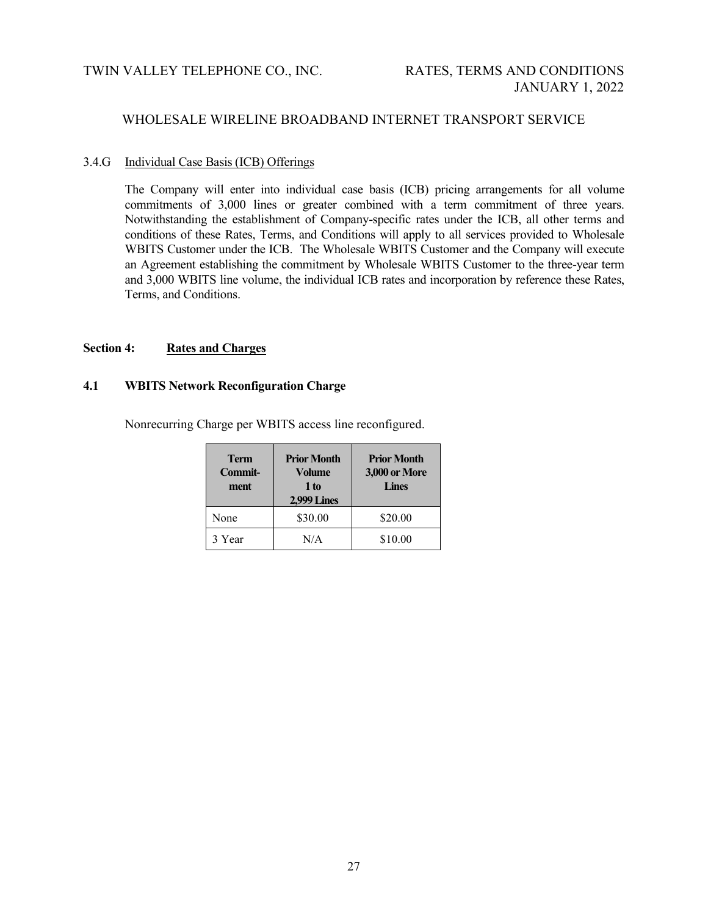# 3.4.G Individual Case Basis (ICB) Offerings

The Company will enter into individual case basis (ICB) pricing arrangements for all volume commitments of 3,000 lines or greater combined with a term commitment of three years. Notwithstanding the establishment of Company-specific rates under the ICB, all other terms and conditions of these Rates, Terms, and Conditions will apply to all services provided to Wholesale WBITS Customer under the ICB. The Wholesale WBITS Customer and the Company will execute an Agreement establishing the commitment by Wholesale WBITS Customer to the three-year term and 3,000 WBITS line volume, the individual ICB rates and incorporation by reference these Rates, Terms, and Conditions.

# **Section 4: Rates and Charges**

### **4.1 WBITS Network Reconfiguration Charge**

Nonrecurring Charge per WBITS access line reconfigured.

| <b>Term</b><br>Commit-<br>ment | <b>Prior Month</b><br><b>Volume</b><br>1 to<br>2,999 Lines | <b>Prior Month</b><br><b>3,000 or More</b><br><b>Lines</b> |  |
|--------------------------------|------------------------------------------------------------|------------------------------------------------------------|--|
| None                           | \$30.00                                                    | \$20.00                                                    |  |
| 3 Year                         | N/A                                                        | \$10.00                                                    |  |